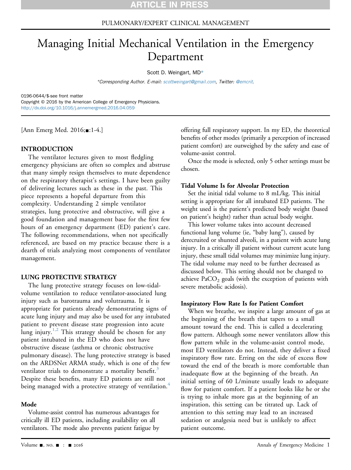#### PULMONARY/EXPERT CLINICAL MANAGEMENT

# Managing Initial Mechanical Ventilation in the Emergency Department

Scott D. Weingart, MD\*

\*Corresponding Author. E-mail: [scottweingart@gmail.com](mailto:scottweingart@gmail.com), Twitter: [@emcrit](mailto:@emcrit).

0196-0644/\$-see front matter Copyright © 2016 by the American College of Emergency Physicians. <http://dx.doi.org/10.1016/j.annemergmed.2016.04.059>

[Ann Emerg Med.  $2016;1-4$ .]

#### INTRODUCTION

The ventilator lectures given to most fledgling emergency physicians are often so complex and abstruse that many simply resign themselves to mute dependence on the respiratory therapist's settings. I have been guilty of delivering lectures such as these in the past. This piece represents a hopeful departure from this complexity. Understanding 2 simple ventilator strategies, lung protective and obstructive, will give a good foundation and management base for the first few hours of an emergency department (ED) patient's care. The following recommendations, when not specifically referenced, are based on my practice because there is a dearth of trials analyzing most components of ventilator management.

#### LUNG PROTECTIVE STRATEGY

The lung protective strategy focuses on low-tidalvolume ventilation to reduce ventilator-associated lung injury such as barotrauma and volutrauma. It is appropriate for patients already demonstrating signs of acute lung injury and may also be used for any intubated patient to prevent disease state progression into acute lung injury.<sup>[1,2](#page-3-0)</sup> This strategy should be chosen for any patient intubated in the ED who does not have obstructive disease (asthma or chronic obstructive pulmonary disease). The lung protective strategy is based on the ARDSNet ARMA study, which is one of the few ventilator trials to demonstrate a mortality benefit.<sup>[3](#page-3-1)</sup> Despite these benefits, many ED patients are still not being managed with a protective strategy of ventilation.<sup>[4](#page-3-2)</sup>

### Mode

Volume-assist control has numerous advantages for critically ill ED patients, including availability on all ventilators. The mode also prevents patient fatigue by

offering full respiratory support. In my ED, the theoretical benefits of other modes (primarily a perception of increased patient comfort) are outweighed by the safety and ease of volume-assist control.

Once the mode is selected, only 5 other settings must be chosen.

#### Tidal Volume Is for Alveolar Protection

Set the initial tidal volume to 8 mL/kg. This initial setting is appropriate for all intubated ED patients. The weight used is the patient's predicted body weight (based on patient's height) rather than actual body weight.

This lower volume takes into account decreased functional lung volume (ie, "baby lung"), caused by derecruited or shunted alveoli, in a patient with acute lung injury. In a critically ill patient without current acute lung injury, these small tidal volumes may minimize lung injury. The tidal volume may need to be further decreased as discussed below. This setting should not be changed to achieve  $PaCO<sub>2</sub>$  goals (with the exception of patients with severe metabolic acidosis).

#### Inspiratory Flow Rate Is for Patient Comfort

When we breathe, we inspire a large amount of gas at the beginning of the breath that tapers to a small amount toward the end. This is called a decelerating flow pattern. Although some newer ventilators allow this flow pattern while in the volume-assist control mode, most ED ventilators do not. Instead, they deliver a fixed inspiratory flow rate. Erring on the side of excess flow toward the end of the breath is more comfortable than inadequate flow at the beginning of the breath. An initial setting of 60 L/minute usually leads to adequate flow for patient comfort. If a patient looks like he or she is trying to inhale more gas at the beginning of an inspiration, this setting can be titrated up. Lack of attention to this setting may lead to an increased sedation or analgesia need but is unlikely to affect patient outcome.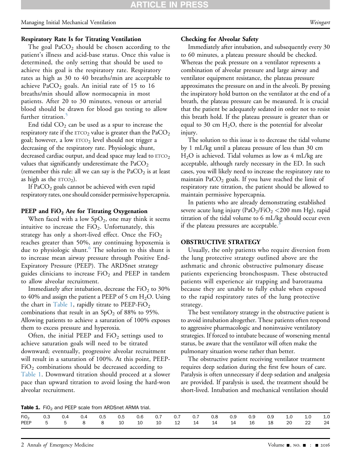#### Respiratory Rate Is for Titrating Ventilation

The goal  $PaCO<sub>2</sub>$  should be chosen according to the patient's illness and acid-base status. Once this value is determined, the only setting that should be used to achieve this goal is the respiratory rate. Respiratory rates as high as 30 to 40 breaths/min are acceptable to achieve PaCO<sub>2</sub> goals. An initial rate of 15 to 16 breaths/min should allow normocapnia in most patients. After 20 to 30 minutes, venous or arterial blood should be drawn for blood gas testing to allow further titration.<sup>[5](#page-3-3)</sup>

End tidal  $CO<sub>2</sub>$  can be used as a spur to increase the respiratory rate if the  $ETCO<sub>2</sub>$  value is greater than the  $PaCO<sub>2</sub>$ goal; however, a low  $ETCO<sub>2</sub>$  level should not trigger a decreasing of the respiratory rate. Physiologic shunt, decreased cardiac output, and dead space may lead to  $\rm ETO_2$ values that significantly underestimate the  $PaCO<sub>2</sub>$ (remember this rule: all we can say is the  $PaCO<sub>2</sub>$  is at least as high as the  $ETCO<sub>2</sub>$ ).

If  $PaCO<sub>2</sub>$  goals cannot be achieved with even rapid respiratory rates, one should consider permissive hypercapnia.

#### PEEP and  $FiO<sub>2</sub>$  Are for Titrating Oxygenation

When faced with a low  $SpO<sub>2</sub>$ , one may think it seems intuitive to increase the  $FiO<sub>2</sub>$ . Unfortunately, this strategy has only a short-lived effect. Once the  $FiO<sub>2</sub>$ reaches greater than 50%, any continuing hypoxemia is due to physiologic shunt.<sup>[6](#page-3-4)</sup> The solution to this shunt is to increase mean airway pressure through Positive End-Expiratory Pressure (PEEP). The ARDSnet strategy guides clinicians to increase  $FiO<sub>2</sub>$  and PEEP in tandem to allow alveolar recruitment.

Immediately after intubation, decrease the  $FiO<sub>2</sub>$  to 30% to 40% and assign the patient a PEEP of 5 cm  $H_2O$ . Using the chart in [Table 1,](#page-1-0) rapidly titrate to PEEP-Fi $O_2$ combinations that result in an  $SpO<sub>2</sub>$  of 88% to 95%. Allowing patients to achieve a saturation of 100% exposes them to excess pressure and hyperoxia.

Often, the initial PEEP and  $FiO<sub>2</sub>$  settings used to achieve saturation goals will need to be titrated downward; eventually, progressive alveolar recruitment will result in a saturation of 100%. At this point, PEEP- $FiO<sub>2</sub>$  combinations should be decreased according to [Table 1.](#page-1-0) Downward titration should proceed at a slower pace than upward titration to avoid losing the hard-won alveolar recruitment.

#### Checking for Alveolar Safety

Immediately after intubation, and subsequently every 30 to 60 minutes, a plateau pressure should be checked. Whereas the peak pressure on a ventilator represents a combination of alveolar pressure and large airway and ventilator equipment resistance, the plateau pressure approximates the pressure on and in the alveoli. By pressing the inspiratory hold button on the ventilator at the end of a breath, the plateau pressure can be measured. It is crucial that the patient be adequately sedated in order not to resist this breath hold. If the plateau pressure is greater than or equal to 30 cm  $H_2O$ , there is the potential for alveolar injury.

The solution to this issue is to decrease the tidal volume by 1 mL/kg until a plateau pressure of less than 30 cm  $H<sub>2</sub>O$  is achieved. Tidal volumes as low as 4 mL/kg are acceptable, although rarely necessary in the ED. In such cases, you will likely need to increase the respiratory rate to maintain  $PaCO<sub>2</sub>$  goals. If you have reached the limit of respiratory rate titration, the patient should be allowed to maintain permissive hypercapnia.

In patients who are already demonstrating established severe acute lung injury (PaO<sub>2</sub>/FiO<sub>2</sub> <200 mm Hg), rapid titration of the tidal volume to 6 mL/kg should occur even if the plateau pressures are acceptable.<sup>[3](#page-3-1)</sup>

#### OBSTRUCTIVE STRATEGY

Usually, the only patients who require diversion from the lung protective strategy outlined above are the asthmatic and chronic obstructive pulmonary disease patients experiencing bronchospasm. These obstructed patients will experience air trapping and barotrauma because they are unable to fully exhale when exposed to the rapid respiratory rates of the lung protective strategy.

The best ventilatory strategy in the obstructive patient is to avoid intubation altogether. These patients often respond to aggressive pharmacologic and noninvasive ventilatory strategies. If forced to intubate because of worsening mental status, be aware that the ventilator will often make the pulmonary situation worse rather than better.

The obstructive patient receiving ventilator treatment requires deep sedation during the first few hours of care. Paralysis is often unnecessary if deep sedation and analgesia are provided. If paralysis is used, the treatment should be short-lived. Intubation and mechanical ventilation should

<span id="page-1-0"></span>Table 1. FiO<sub>2</sub> and PEEP scale from ARDSnet ARMA trial

|  | FiO <sub>2</sub> 0.3 0.4 0.4 0.5 0.5 0.6 0.7 0.7 0.7 0.8 0.9 0.9 0.9 1.0 1.0 1.0 |  |  |  |  |  |  |  |
|--|----------------------------------------------------------------------------------|--|--|--|--|--|--|--|
|  | PEEP 5 5 8 8 10 10 10 12 14 14 14 16 18 20 22 24                                 |  |  |  |  |  |  |  |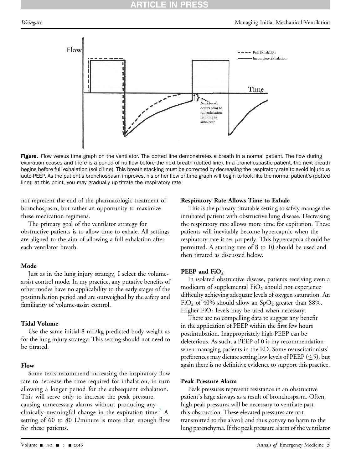<span id="page-2-0"></span>

Figure. Flow versus time graph on the ventilator. The dotted line demonstrates a breath in a normal patient. The flow during expiration ceases and there is a period of no flow before the next breath (dotted line). In a bronchospastic patient, the next breath begins before full exhalation (solid line). This breath stacking must be corrected by decreasing the respiratory rate to avoid injurious auto-PEEP. As the patient's bronchospasm improves, his or her flow or time graph will begin to look like the normal patient's (dotted line); at this point, you may gradually up-titrate the respiratory rate.

not represent the end of the pharmacologic treatment of bronchospasm, but rather an opportunity to maximize these medication regimens.

The primary goal of the ventilator strategy for obstructive patients is to allow time to exhale. All settings are aligned to the aim of allowing a full exhalation after each ventilator breath.

#### Mode

Just as in the lung injury strategy, I select the volumeassist control mode. In my practice, any putative benefits of other modes have no applicability to the early stages of the postintubation period and are outweighed by the safety and familiarity of volume-assist control.

#### Tidal Volume

Use the same initial 8 mL/kg predicted body weight as for the lung injury strategy. This setting should not need to be titrated.

#### Flow

Some texts recommend increasing the inspiratory flow rate to decrease the time required for inhalation, in turn allowing a longer period for the subsequent exhalation. This will serve only to increase the peak pressure, causing unnecessary alarms without producing any clinically meaningful change in the expiration time. $\angle A$ setting of 60 to 80 L/minute is more than enough flow for these patients.

#### Respiratory Rate Allows Time to Exhale

This is the primary titratable setting to safely manage the intubated patient with obstructive lung disease. Decreasing the respiratory rate allows more time for expiration. These patients will inevitably become hypercapnic when the respiratory rate is set properly. This hypercapnia should be permitted. A starting rate of 8 to 10 should be used and then titrated as discussed below.

#### PEEP and  $FiO<sub>2</sub>$

In isolated obstructive disease, patients receiving even a modicum of supplemental  $FiO<sub>2</sub>$  should not experience difficulty achieving adequate levels of oxygen saturation. An  $FiO<sub>2</sub>$  of 40% should allow an Sp $O<sub>2</sub>$  greater than 88%. Higher  $FiO<sub>2</sub>$  levels may be used when necessary.

There are no compelling data to suggest any benefit in the application of PEEP within the first few hours postintubation. Inappropriately high PEEP can be deleterious. As such, a PEEP of 0 is my recommendation when managing patients in the ED. Some resuscitationists' preferences may dictate setting low levels of PEEP  $(\leq 5)$ , but again there is no definitive evidence to support this practice.

#### Peak Pressure Alarm

Peak pressures represent resistance in an obstructive patient's large airways as a result of bronchospasm. Often, high peak pressures will be necessary to ventilate past this obstruction. These elevated pressures are not transmitted to the alveoli and thus convey no harm to the lung parenchyma. If the peak pressure alarm of the ventilator